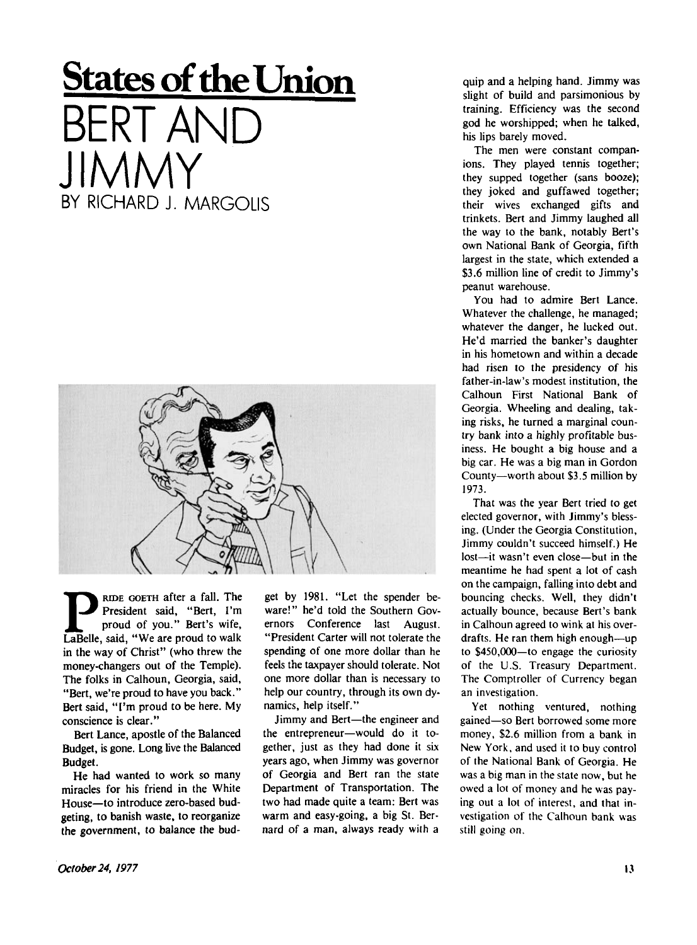## **States of the Union BERT AND** JIMMY BY RICHARD J. MARGOLIS



**P**President said, "Bert, I'm
proud of you." Bert's wife,<br>
LaBelle, said, "We are proud to walk RIDE GOETH after a fall. The President said, "Bert, I'm proud of you." Bert's wife, in the way of Christ" (who threw the money-changers out of the Temple). The folks in Calhoun, Georgia, said, "Bert, we're proud to have you back." Bert said, "I'm proud to be here. My conscience is clear."

Bert Lance, apostle of the Balanced Budget, is gone. Long live the Balanced Budget.

He had wanted to work so many miracles for his friend in the White House—to introduce zero-based budgeting, to banish waste, to reorganize the government, to balance the budget by 1981. "Let the spender beware!" he'd told the Southern Governors Conference last August. "President Carter will not tolerate the spending of one more dollar than he feels the taxpayer should tolerate. Not one more dollar than is necessary to help our country, through its own dynamics, help itself."

Jimmy and Bert—the engineer and the entrepreneur—would do it together, just as they had done it six years ago, when Jimmy was governor of Georgia and Bert ran the state Department of Transportation. The two had made quite a team: Bert was warm and easy-going, a big St. Bernard of a man, always ready with a

quip and a helping hand. Jimmy was slight of build and parsimonious by training. Efficiency was the second god he worshipped; when he talked, his lips barely moved.

The men were constant companions. They played tennis together; they supped together (sans booze); they joked and guffawed together; their wives exchanged gifts and trinkets. Bert and Jimmy laughed all the way to the bank, notably Bert's own National Bank of Georgia, fifth largest in the state, which extended a \$3.6 million line of credit to Jimmy's peanut warehouse.

You had to admire Bert Lance. Whatever the challenge, he managed; whatever the danger, he lucked out. He'd married the banker's daughter in his hometown and within a decade had risen to the presidency of his father-in-law's modest institution, the Calhoun First National Bank of Georgia. Wheeling and dealing, taking risks, he turned a marginal country bank into a highly profitable business. He bought a big house and a big car. He was a big man in Gordon County—worth about \$3.5 million by 1973.

That was the year Bert tried to get elected governor, with Jimmy's blessing. (Under the Georgia Constitution, Jimmy couldn't succeed himself.) He lost—it wasn't even close—but in the meantime he had spent a lot of cash on the campaign, falling into debt and bouncing checks. Well, they didn't actually bounce, because Bert's bank in Calhoun agreed to wink at his overdrafts. He ran them high enough—up to \$450,000—to engage the curiosity of the U.S. Treasury Department. The Comptroller of Currency began an investigation.

Yet nothing ventured, nothing gained—so Bert borrowed some more money, \$2.6 million from a bank in New York, and used it to buy control of the National Bank of Georgia. He was a big man in the state now, but he owed a lot of money and he was paying out a lot of interest, and that investigation of the Calhoun bank was still going on.